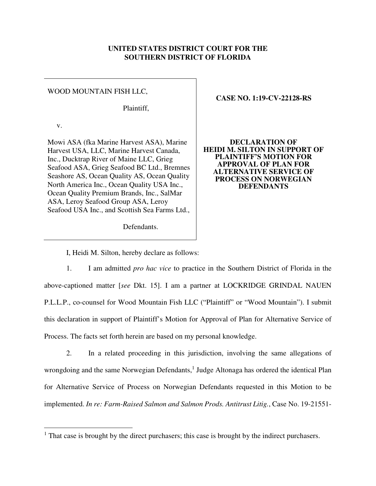## **UNITED STATES DISTRICT COURT FOR THE SOUTHERN DISTRICT OF FLORIDA**

## WOOD MOUNTAIN FISH LLC,

Plaintiff,

v.

<u>.</u>

Mowi ASA (fka Marine Harvest ASA), Marine Harvest USA, LLC, Marine Harvest Canada, Inc., Ducktrap River of Maine LLC, Grieg Seafood ASA, Grieg Seafood BC Ltd., Bremnes Seashore AS, Ocean Quality AS, Ocean Quality North America Inc., Ocean Quality USA Inc., Ocean Quality Premium Brands, Inc., SalMar ASA, Leroy Seafood Group ASA, Leroy Seafood USA Inc., and Scottish Sea Farms Ltd.,

## **CASE NO. 1:19-CV-22128-RS**

**DECLARATION OF HEIDI M. SILTON IN SUPPORT OF PLAINTIFF'S MOTION FOR APPROVAL OF PLAN FOR ALTERNATIVE SERVICE OF PROCESS ON NORWEGIAN DEFENDANTS** 

Defendants.

I, Heidi M. Silton, hereby declare as follows:

1. I am admitted *pro hac vice* to practice in the Southern District of Florida in the above-captioned matter [*see* Dkt. 15]. I am a partner at LOCKRIDGE GRINDAL NAUEN P.L.L.P., co-counsel for Wood Mountain Fish LLC ("Plaintiff" or "Wood Mountain"). I submit this declaration in support of Plaintiff's Motion for Approval of Plan for Alternative Service of Process. The facts set forth herein are based on my personal knowledge.

2. In a related proceeding in this jurisdiction, involving the same allegations of wrongdoing and the same Norwegian Defendants,<sup>1</sup> Judge Altonaga has ordered the identical Plan for Alternative Service of Process on Norwegian Defendants requested in this Motion to be implemented. *In re: Farm-Raised Salmon and Salmon Prods. Antitrust Litig.*, Case No. 19-21551-

<sup>&</sup>lt;sup>1</sup> That case is brought by the direct purchasers; this case is brought by the indirect purchasers.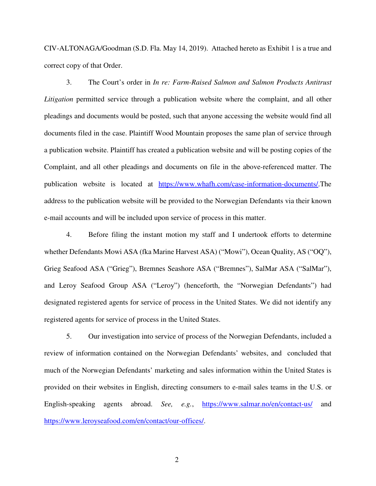CIV-ALTONAGA/Goodman (S.D. Fla. May 14, 2019). Attached hereto as Exhibit 1 is a true and correct copy of that Order.

3. The Court's order in *In re: Farm-Raised Salmon and Salmon Products Antitrust Litigation* permitted service through a publication website where the complaint, and all other pleadings and documents would be posted, such that anyone accessing the website would find all documents filed in the case. Plaintiff Wood Mountain proposes the same plan of service through a publication website. Plaintiff has created a publication website and will be posting copies of the Complaint, and all other pleadings and documents on file in the above-referenced matter. The publication website is located at https://www.whafh.com/case-information-documents/.The address to the publication website will be provided to the Norwegian Defendants via their known e-mail accounts and will be included upon service of process in this matter.

4. Before filing the instant motion my staff and I undertook efforts to determine whether Defendants Mowi ASA (fka Marine Harvest ASA) ("Mowi"), Ocean Quality, AS ("OQ"), Grieg Seafood ASA ("Grieg"), Bremnes Seashore ASA ("Bremnes"), SalMar ASA ("SalMar"), and Leroy Seafood Group ASA ("Leroy") (henceforth, the "Norwegian Defendants") had designated registered agents for service of process in the United States. We did not identify any registered agents for service of process in the United States.

5. Our investigation into service of process of the Norwegian Defendants, included a review of information contained on the Norwegian Defendants' websites, and concluded that much of the Norwegian Defendants' marketing and sales information within the United States is provided on their websites in English, directing consumers to e-mail sales teams in the U.S. or English-speaking agents abroad. *See, e.g.*, https://www.salmar.no/en/contact-us/ and https://www.leroyseafood.com/en/contact/our-offices/.

2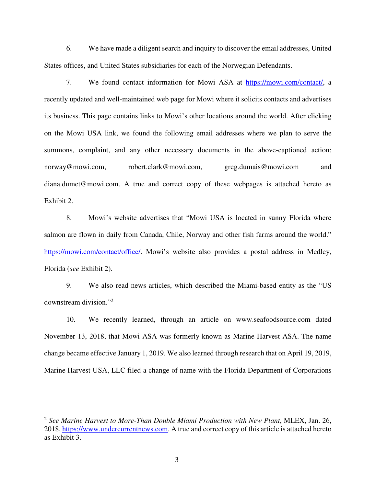6. We have made a diligent search and inquiry to discover the email addresses, United States offices, and United States subsidiaries for each of the Norwegian Defendants.

7. We found contact information for Mowi ASA at https://mowi.com/contact/, a recently updated and well-maintained web page for Mowi where it solicits contacts and advertises its business. This page contains links to Mowi's other locations around the world. After clicking on the Mowi USA link, we found the following email addresses where we plan to serve the summons, complaint, and any other necessary documents in the above-captioned action: norway@mowi.com, robert.clark@mowi.com, greg.dumais@mowi.com and diana.dumet@mowi.com. A true and correct copy of these webpages is attached hereto as Exhibit 2.

8. Mowi's website advertises that "Mowi USA is located in sunny Florida where salmon are flown in daily from Canada, Chile, Norway and other fish farms around the world." https://mowi.com/contact/office/. Mowi's website also provides a postal address in Medley, Florida (*see* Exhibit 2).

9. We also read news articles, which described the Miami-based entity as the "US downstream division."<sup>2</sup>

10. We recently learned, through an article on www.seafoodsource.com dated November 13, 2018, that Mowi ASA was formerly known as Marine Harvest ASA. The name change became effective January 1, 2019. We also learned through research that on April 19, 2019, Marine Harvest USA, LLC filed a change of name with the Florida Department of Corporations

-

<sup>2</sup> *See Marine Harvest to More-Than Double Miami Production with New Plant*, MLEX, Jan. 26, 2018, https://www.undercurrentnews.com. A true and correct copy of this article is attached hereto as Exhibit 3.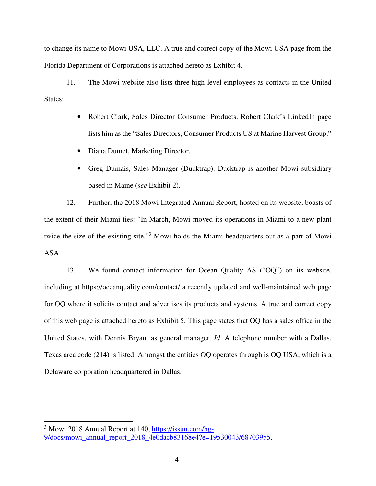to change its name to Mowi USA, LLC. A true and correct copy of the Mowi USA page from the Florida Department of Corporations is attached hereto as Exhibit 4.

11. The Mowi website also lists three high-level employees as contacts in the United States:

- Robert Clark, Sales Director Consumer Products. Robert Clark's LinkedIn page lists him as the "Sales Directors, Consumer Products US at Marine Harvest Group."
- Diana Dumet, Marketing Director.
- Greg Dumais, Sales Manager (Ducktrap). Ducktrap is another Mowi subsidiary based in Maine (*see* Exhibit 2).

12. Further, the 2018 Mowi Integrated Annual Report, hosted on its website, boasts of the extent of their Miami ties: "In March, Mowi moved its operations in Miami to a new plant twice the size of the existing site."<sup>3</sup> Mowi holds the Miami headquarters out as a part of Mowi ASA.

13. We found contact information for Ocean Quality AS ("OQ") on its website, including at https://oceanquality.com/contact/ a recently updated and well-maintained web page for OQ where it solicits contact and advertises its products and systems. A true and correct copy of this web page is attached hereto as Exhibit 5. This page states that OQ has a sales office in the United States, with Dennis Bryant as general manager. *Id*. A telephone number with a Dallas, Texas area code (214) is listed. Amongst the entities OQ operates through is OQ USA, which is a Delaware corporation headquartered in Dallas.

<u>.</u>

<sup>&</sup>lt;sup>3</sup> Mowi 2018 Annual Report at 140, https://issuu.com/hg-9/docs/mowi\_annual\_report\_2018\_4e0dacb83168e4?e=19530043/68703955.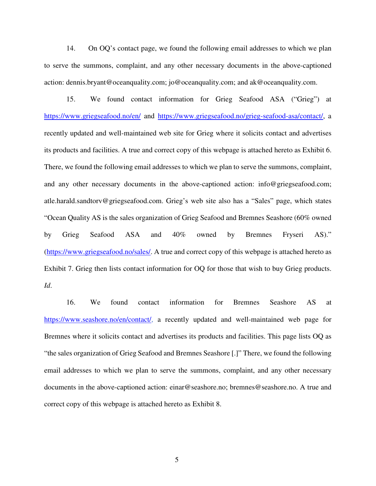14. On OQ's contact page, we found the following email addresses to which we plan to serve the summons, complaint, and any other necessary documents in the above-captioned action: dennis.bryant@oceanquality.com; jo@oceanquality.com; and ak@oceanquality.com.

15. We found contact information for Grieg Seafood ASA ("Grieg") at https://www.griegseafood.no/en/ and https://www.griegseafood.no/grieg-seafood-asa/contact/, a recently updated and well-maintained web site for Grieg where it solicits contact and advertises its products and facilities. A true and correct copy of this webpage is attached hereto as Exhibit 6. There, we found the following email addresses to which we plan to serve the summons, complaint, and any other necessary documents in the above-captioned action: info@griegseafood.com; atle.harald.sandtorv@griegseafood.com. Grieg's web site also has a "Sales" page, which states "Ocean Quality AS is the sales organization of Grieg Seafood and Bremnes Seashore (60% owned by Grieg Seafood ASA and 40% owned by Bremnes Fryseri AS)." (https://www.griegseafood.no/sales/. A true and correct copy of this webpage is attached hereto as Exhibit 7. Grieg then lists contact information for OQ for those that wish to buy Grieg products. *Id*.

16. We found contact information for Bremnes Seashore AS at https://www.seashore.no/en/contact/, a recently updated and well-maintained web page for Bremnes where it solicits contact and advertises its products and facilities. This page lists OQ as "the sales organization of Grieg Seafood and Bremnes Seashore [.]" There, we found the following email addresses to which we plan to serve the summons, complaint, and any other necessary documents in the above-captioned action: einar@seashore.no; bremnes@seashore.no. A true and correct copy of this webpage is attached hereto as Exhibit 8.

5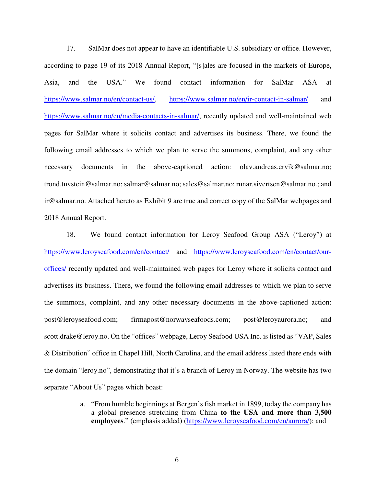17. SalMar does not appear to have an identifiable U.S. subsidiary or office. However, according to page 19 of its 2018 Annual Report, "[s]ales are focused in the markets of Europe, Asia, and the USA." We found contact information for SalMar ASA at https://www.salmar.no/en/contact-us/, https://www.salmar.no/en/ir-contact-in-salmar/ and https://www.salmar.no/en/media-contacts-in-salmar/, recently updated and well-maintained web pages for SalMar where it solicits contact and advertises its business. There, we found the following email addresses to which we plan to serve the summons, complaint, and any other necessary documents in the above-captioned action: olav.andreas.ervik@salmar.no; trond.tuvstein@salmar.no; salmar@salmar.no; sales@salmar.no; runar.sivertsen@salmar.no.; and ir@salmar.no. Attached hereto as Exhibit 9 are true and correct copy of the SalMar webpages and 2018 Annual Report.

18. We found contact information for Leroy Seafood Group ASA ("Leroy") at https://www.leroyseafood.com/en/contact/ and https://www.leroyseafood.com/en/contact/ouroffices/ recently updated and well-maintained web pages for Leroy where it solicits contact and advertises its business. There, we found the following email addresses to which we plan to serve the summons, complaint, and any other necessary documents in the above-captioned action: post@leroyseafood.com; firmapost@norwayseafoods.com; post@leroyaurora.no; and scott.drake@leroy.no. On the "offices" webpage, Leroy Seafood USA Inc. is listed as "VAP, Sales & Distribution" office in Chapel Hill, North Carolina, and the email address listed there ends with the domain "leroy.no", demonstrating that it's a branch of Leroy in Norway. The website has two separate "About Us" pages which boast:

> a. "From humble beginnings at Bergen's fish market in 1899, today the company has a global presence stretching from China **to the USA and more than 3,500 employees**." (emphasis added) (https://www.leroyseafood.com/en/aurora/); and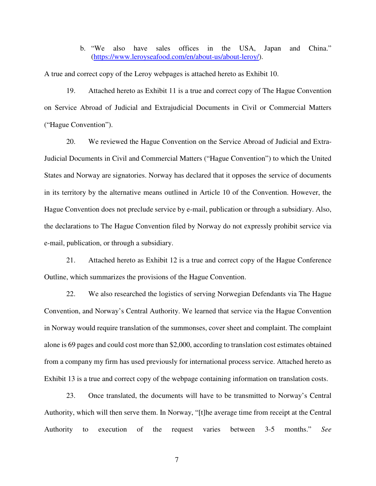b. "We also have sales offices in the USA, Japan and China." (https://www.leroyseafood.com/en/about-us/about-leroy/).

A true and correct copy of the Leroy webpages is attached hereto as Exhibit 10.

19. Attached hereto as Exhibit 11 is a true and correct copy of The Hague Convention on Service Abroad of Judicial and Extrajudicial Documents in Civil or Commercial Matters ("Hague Convention").

20. We reviewed the Hague Convention on the Service Abroad of Judicial and Extra-Judicial Documents in Civil and Commercial Matters ("Hague Convention") to which the United States and Norway are signatories. Norway has declared that it opposes the service of documents in its territory by the alternative means outlined in Article 10 of the Convention. However, the Hague Convention does not preclude service by e-mail, publication or through a subsidiary. Also, the declarations to The Hague Convention filed by Norway do not expressly prohibit service via e-mail, publication, or through a subsidiary.

21. Attached hereto as Exhibit 12 is a true and correct copy of the Hague Conference Outline, which summarizes the provisions of the Hague Convention.

22. We also researched the logistics of serving Norwegian Defendants via The Hague Convention, and Norway's Central Authority. We learned that service via the Hague Convention in Norway would require translation of the summonses, cover sheet and complaint. The complaint alone is 69 pages and could cost more than \$2,000, according to translation cost estimates obtained from a company my firm has used previously for international process service. Attached hereto as Exhibit 13 is a true and correct copy of the webpage containing information on translation costs.

23. Once translated, the documents will have to be transmitted to Norway's Central Authority, which will then serve them. In Norway, "[t]he average time from receipt at the Central Authority to execution of the request varies between 3-5 months." *See* 

7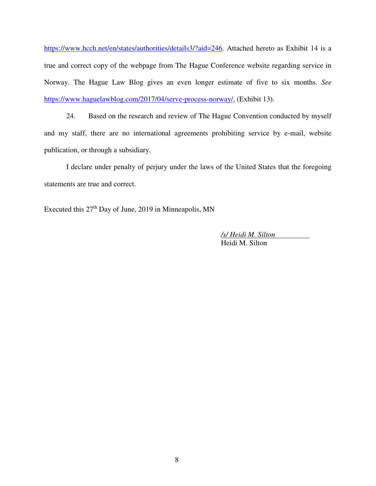https://www.hcch.net/en/states/authorities/details3/?aid=246. Attached hereto as Exhibit 14 is a true and correct copy of the webpage from The Hague Conference website regarding service in Norway. The Hague Law Blog gives an even longer estimate of five to six months. *See*  https://www.haguelawblog.com/2017/04/serve-process-norway/, (Exhibit 13).

24. Based on the research and review of The Hague Convention conducted by myself and my staff, there are no international agreements prohibiting service by e-mail, website publication, or through a subsidiary.

I declare under penalty of perjury under the laws of the United States that the foregoing statements are true and correct.

Executed this 27<sup>th</sup> Day of June, 2019 in Minneapolis, MN

*/s/ Heidi M. Silton*  Heidi M. Silton